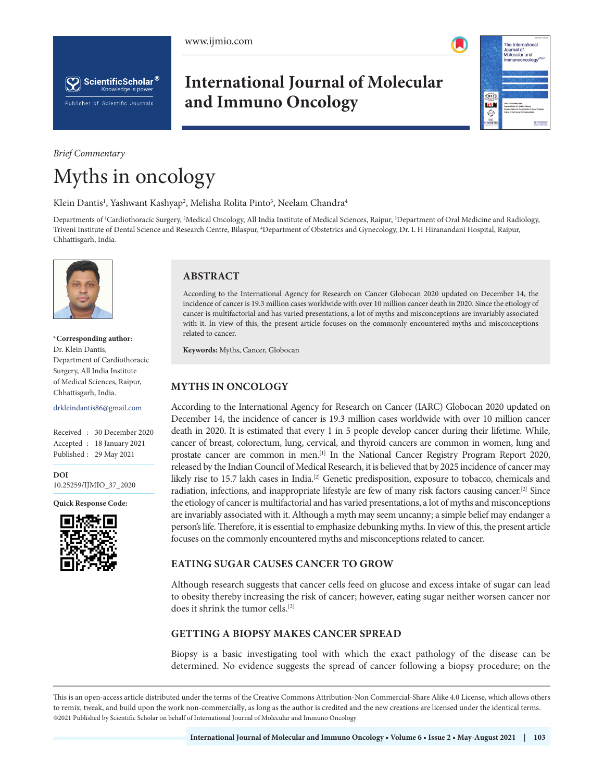





**International Journal of Molecular and Immuno Oncology**



## *Brief Commentary* Myths in oncology

Klein Dantis<sup>1</sup>, Yashwant Kashyap<sup>2</sup>, Melisha Rolita Pinto<sup>3</sup>, Neelam Chandra<sup>4</sup>

Departments of <sup>1</sup>Cardiothoracic Surgery, <sup>2</sup>Medical Oncology, All India Institute of Medical Sciences, Raipur, <sup>3</sup>Department of Oral Medicine and Radiology, Triveni Institute of Dental Science and Research Centre, Bilaspur, 4 Department of Obstetrics and Gynecology, Dr. L H Hiranandani Hospital, Raipur, Chhattisgarh, India.



**\*Corresponding author:** Dr. Klein Dantis, Department of Cardiothoracic Surgery, All India Institute of Medical Sciences, Raipur, Chhattisgarh, India.

drkleindantis86@gmail.com

Received : 30 December 2020 Accepted : 18 January 2021 Published : 29 May 2021

**DOI** [10.25259/IJMIO\\_37\\_2020](https://dx.doi.org/10.25259/IJMIO_37_2020)

**Quick Response Code:**



## **ABSTRACT**

According to the International Agency for Research on Cancer Globocan 2020 updated on December 14, the incidence of cancer is 19.3 million cases worldwide with over 10 million cancer death in 2020. Since the etiology of cancer is multifactorial and has varied presentations, a lot of myths and misconceptions are invariably associated with it. In view of this, the present article focuses on the commonly encountered myths and misconceptions related to cancer.

**Keywords:** Myths, Cancer, Globocan

## **MYTHS IN ONCOLOGY**

According to the International Agency for Research on Cancer (IARC) Globocan 2020 updated on December 14, the incidence of cancer is 19.3 million cases worldwide with over 10 million cancer death in 2020. It is estimated that every 1 in 5 people develop cancer during their lifetime. While, cancer of breast, colorectum, lung, cervical, and thyroid cancers are common in women, lung and prostate cancer are common in men.[1] In the National Cancer Registry Program Report 2020, released by the Indian Council of Medical Research, it is believed that by 2025 incidence of cancer may likely rise to 15.7 lakh cases in India.<sup>[2]</sup> Genetic predisposition, exposure to tobacco, chemicals and radiation, infections, and inappropriate lifestyle are few of many risk factors causing cancer.[2] Since the etiology of cancer is multifactorial and has varied presentations, a lot of myths and misconceptions are invariably associated with it. Although a myth may seem uncanny; a simple belief may endanger a person's life. Therefore, it is essential to emphasize debunking myths. In view of this, the present article focuses on the commonly encountered myths and misconceptions related to cancer.

#### **EATING SUGAR CAUSES CANCER TO GROW**

Although research suggests that cancer cells feed on glucose and excess intake of sugar can lead to obesity thereby increasing the risk of cancer; however, eating sugar neither worsen cancer nor does it shrink the tumor cells.[3]

#### **GETTING A BIOPSY MAKES CANCER SPREAD**

Biopsy is a basic investigating tool with which the exact pathology of the disease can be determined. No evidence suggests the spread of cancer following a biopsy procedure; on the

This is an open-access article distributed under the terms of the Creative Commons Attribution-Non Commercial-Share Alike 4.0 License, which allows others to remix, tweak, and build upon the work non-commercially, as long as the author is credited and the new creations are licensed under the identical terms. ©2021 Published by Scientific Scholar on behalf of International Journal of Molecular and Immuno Oncology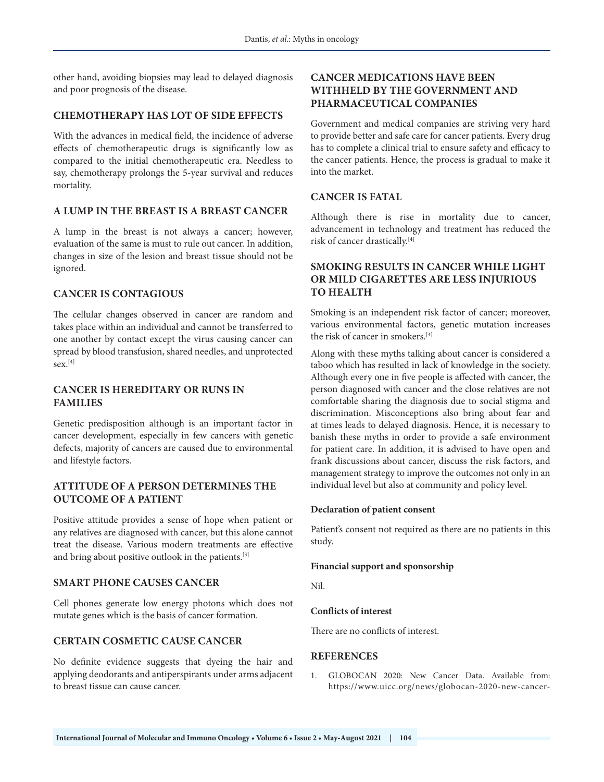other hand, avoiding biopsies may lead to delayed diagnosis and poor prognosis of the disease.

#### **CHEMOTHERAPY HAS LOT OF SIDE EFFECTS**

With the advances in medical field, the incidence of adverse effects of chemotherapeutic drugs is significantly low as compared to the initial chemotherapeutic era. Needless to say, chemotherapy prolongs the 5-year survival and reduces mortality.

#### **A LUMP IN THE BREAST IS A BREAST CANCER**

A lump in the breast is not always a cancer; however, evaluation of the same is must to rule out cancer. In addition, changes in size of the lesion and breast tissue should not be ignored.

#### **CANCER IS CONTAGIOUS**

The cellular changes observed in cancer are random and takes place within an individual and cannot be transferred to one another by contact except the virus causing cancer can spread by blood transfusion, shared needles, and unprotected sex.[4]

#### **CANCER IS HEREDITARY OR RUNS IN FAMILIES**

Genetic predisposition although is an important factor in cancer development, especially in few cancers with genetic defects, majority of cancers are caused due to environmental and lifestyle factors.

#### **ATTITUDE OF A PERSON DETERMINES THE OUTCOME OF A PATIENT**

Positive attitude provides a sense of hope when patient or any relatives are diagnosed with cancer, but this alone cannot treat the disease. Various modern treatments are effective and bring about positive outlook in the patients.[3]

#### **SMART PHONE CAUSES CANCER**

Cell phones generate low energy photons which does not mutate genes which is the basis of cancer formation.

#### **CERTAIN COSMETIC CAUSE CANCER**

No definite evidence suggests that dyeing the hair and applying deodorants and antiperspirants under arms adjacent to breast tissue can cause cancer.

### **CANCER MEDICATIONS HAVE BEEN WITHHELD BY THE GOVERNMENT AND PHARMACEUTICAL COMPANIES**

Government and medical companies are striving very hard to provide better and safe care for cancer patients. Every drug has to complete a clinical trial to ensure safety and efficacy to the cancer patients. Hence, the process is gradual to make it into the market.

#### **CANCER IS FATAL**

Although there is rise in mortality due to cancer, advancement in technology and treatment has reduced the risk of cancer drastically.[4]

### **SMOKING RESULTS IN CANCER WHILE LIGHT OR MILD CIGARETTES ARE LESS INJURIOUS TO HEALTH**

Smoking is an independent risk factor of cancer; moreover, various environmental factors, genetic mutation increases the risk of cancer in smokers.[4]

Along with these myths talking about cancer is considered a taboo which has resulted in lack of knowledge in the society. Although every one in five people is affected with cancer, the person diagnosed with cancer and the close relatives are not comfortable sharing the diagnosis due to social stigma and discrimination. Misconceptions also bring about fear and at times leads to delayed diagnosis. Hence, it is necessary to banish these myths in order to provide a safe environment for patient care. In addition, it is advised to have open and frank discussions about cancer, discuss the risk factors, and management strategy to improve the outcomes not only in an individual level but also at community and policy level.

#### **Declaration of patient consent**

Patient's consent not required as there are no patients in this study.

#### **Financial support and sponsorship**

Nil.

#### **Conflicts of interest**

There are no conflicts of interest.

#### **REFERENCES**

1. GLOBOCAN 2020: New Cancer Data. Available from: https://www.uicc.org/news/globocan-2020-new-cancer